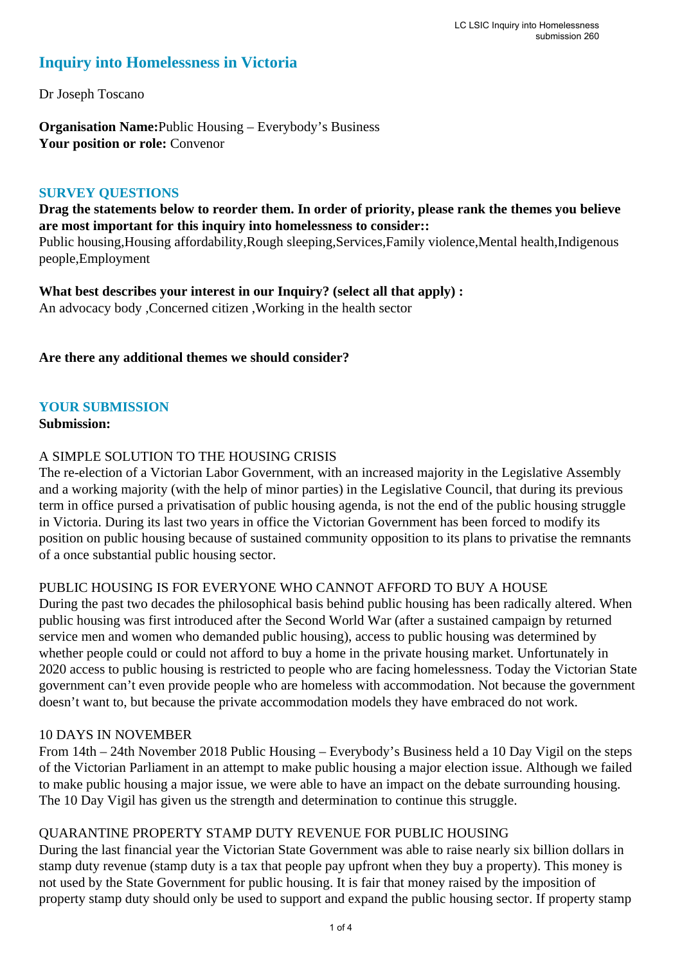## **Inquiry into Homelessness in Victoria**

Dr Joseph Toscano

**Organisation Name:**Public Housing – Everybody's Business **Your position or role:** Convenor

#### **SURVEY QUESTIONS**

**Drag the statements below to reorder them. In order of priority, please rank the themes you believe are most important for this inquiry into homelessness to consider::** 

Public housing,Housing affordability,Rough sleeping,Services,Family violence,Mental health,Indigenous people,Employment

**What best describes your interest in our Inquiry? (select all that apply) :**  An advocacy body ,Concerned citizen ,Working in the health sector

#### **Are there any additional themes we should consider?**

#### **YOUR SUBMISSION**

#### **Submission:**

#### A SIMPLE SOLUTION TO THE HOUSING CRISIS

The re-election of a Victorian Labor Government, with an increased majority in the Legislative Assembly and a working majority (with the help of minor parties) in the Legislative Council, that during its previous term in office pursed a privatisation of public housing agenda, is not the end of the public housing struggle in Victoria. During its last two years in office the Victorian Government has been forced to modify its position on public housing because of sustained community opposition to its plans to privatise the remnants of a once substantial public housing sector.

#### PUBLIC HOUSING IS FOR EVERYONE WHO CANNOT AFFORD TO BUY A HOUSE

During the past two decades the philosophical basis behind public housing has been radically altered. When public housing was first introduced after the Second World War (after a sustained campaign by returned service men and women who demanded public housing), access to public housing was determined by whether people could or could not afford to buy a home in the private housing market. Unfortunately in 2020 access to public housing is restricted to people who are facing homelessness. Today the Victorian State government can't even provide people who are homeless with accommodation. Not because the government doesn't want to, but because the private accommodation models they have embraced do not work.

#### 10 DAYS IN NOVEMBER

From 14th – 24th November 2018 Public Housing – Everybody's Business held a 10 Day Vigil on the steps of the Victorian Parliament in an attempt to make public housing a major election issue. Although we failed to make public housing a major issue, we were able to have an impact on the debate surrounding housing. The 10 Day Vigil has given us the strength and determination to continue this struggle.

#### QUARANTINE PROPERTY STAMP DUTY REVENUE FOR PUBLIC HOUSING

During the last financial year the Victorian State Government was able to raise nearly six billion dollars in stamp duty revenue (stamp duty is a tax that people pay upfront when they buy a property). This money is not used by the State Government for public housing. It is fair that money raised by the imposition of property stamp duty should only be used to support and expand the public housing sector. If property stamp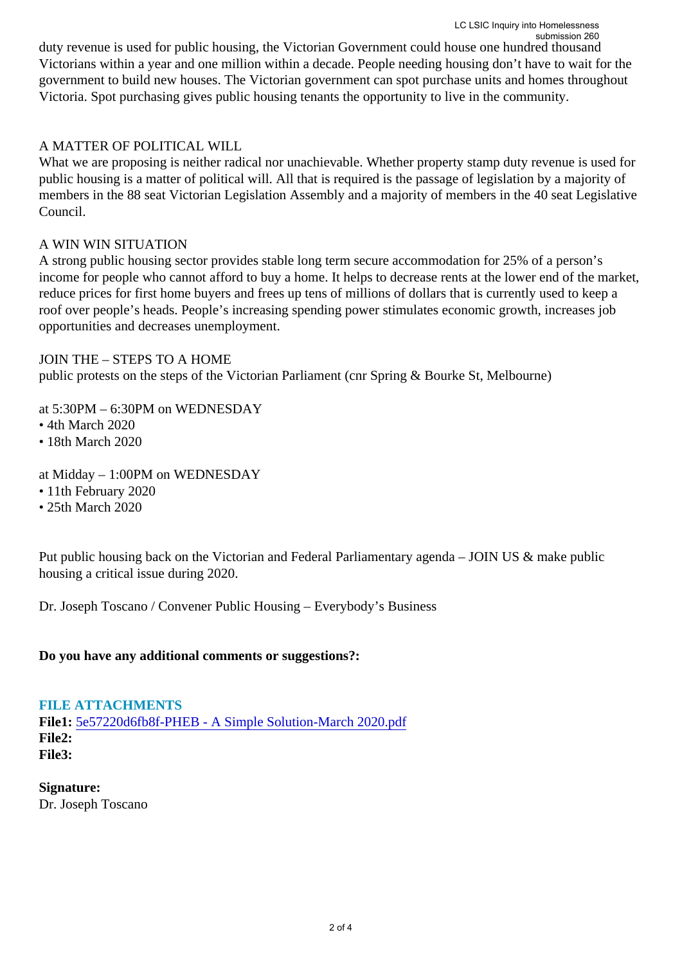duty revenue is used for public housing, the Victorian Government could house one hundred thousand Victorians within a year and one million within a decade. People needing housing don't have to wait for the government to build new houses. The Victorian government can spot purchase units and homes throughout Victoria. Spot purchasing gives public housing tenants the opportunity to live in the community.

#### A MATTER OF POLITICAL WILL

What we are proposing is neither radical nor unachievable. Whether property stamp duty revenue is used for public housing is a matter of political will. All that is required is the passage of legislation by a majority of members in the 88 seat Victorian Legislation Assembly and a majority of members in the 40 seat Legislative Council.

#### A WIN WIN SITUATION

A strong public housing sector provides stable long term secure accommodation for 25% of a person's income for people who cannot afford to buy a home. It helps to decrease rents at the lower end of the market, reduce prices for first home buyers and frees up tens of millions of dollars that is currently used to keep a roof over people's heads. People's increasing spending power stimulates economic growth, increases job opportunities and decreases unemployment.

#### JOIN THE – STEPS TO A HOME

public protests on the steps of the Victorian Parliament (cnr Spring & Bourke St, Melbourne)

at 5:30PM – 6:30PM on WEDNESDAY

• 4th March 2020

• 18th March 2020

at Midday – 1:00PM on WEDNESDAY

• 11th February 2020

• 25th March 2020

Put public housing back on the Victorian and Federal Parliamentary agenda – JOIN US & make public housing a critical issue during 2020.

Dr. Joseph Toscano / Convener Public Housing – Everybody's Business

#### **Do you have any additional comments or suggestions?:**

**FILE ATTACHMENTS**

**File1:** [5e57220d6fb8f-PHEB - A Simple Solution-March 2020.pdf](https://www.parliament.vic.gov.au/component/rsform/submission-view-file/dafc0d6bdaec89458f867bee492877cc/930e334d4742c370933ceafdc373dd12?Itemid=463) **File2: File3:** 

**Signature:** Dr. Joseph Toscano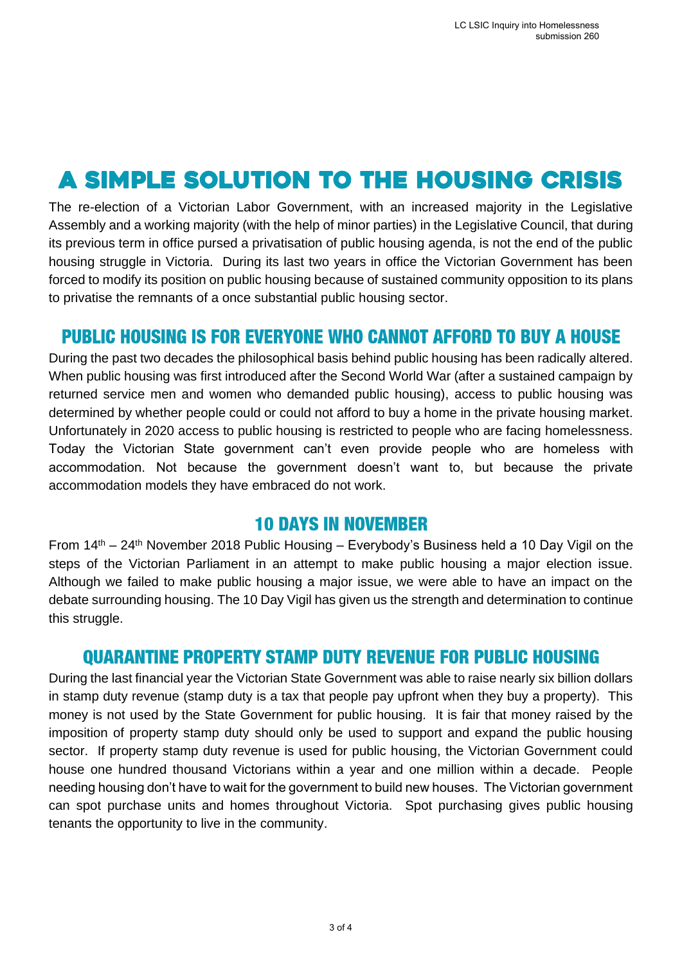# A SIMPLE SOLUTION TO THE HOUSING CRISIS

The re-election of a Victorian Labor Government, with an increased majority in the Legislative Assembly and a working majority (with the help of minor parties) in the Legislative Council, that during its previous term in office pursed a privatisation of public housing agenda, is not the end of the public housing struggle in Victoria. During its last two years in office the Victorian Government has been forced to modify its position on public housing because of sustained community opposition to its plans to privatise the remnants of a once substantial public housing sector.

## **PUBLIC HOUSING IS FOR EVERYONE WHO CANNOT AFFORD TO BUY A HOUSE**

During the past two decades the philosophical basis behind public housing has been radically altered. When public housing was first introduced after the Second World War (after a sustained campaign by returned service men and women who demanded public housing), access to public housing was determined by whether people could or could not afford to buy a home in the private housing market. Unfortunately in 2020 access to public housing is restricted to people who are facing homelessness. Today the Victorian State government can't even provide people who are homeless with accommodation. Not because the government doesn't want to, but because the private accommodation models they have embraced do not work.

## **10 DAYS IN NOVEMBER**

From 14th – 24th November 2018 Public Housing – Everybody's Business held a 10 Day Vigil on the steps of the Victorian Parliament in an attempt to make public housing a major election issue. Although we failed to make public housing a major issue, we were able to have an impact on the debate surrounding housing. The 10 Day Vigil has given us the strength and determination to continue this struggle.

## **OUARANTINE PROPERTY STAMP DUTY REVENUE FOR PUBLIC HOUSING**

During the last financial year the Victorian State Government was able to raise nearly six billion dollars in stamp duty revenue (stamp duty is a tax that people pay upfront when they buy a property). This money is not used by the State Government for public housing. It is fair that money raised by the imposition of property stamp duty should only be used to support and expand the public housing sector. If property stamp duty revenue is used for public housing, the Victorian Government could house one hundred thousand Victorians within a year and one million within a decade. People needing housing don't have to wait for the government to build new houses. The Victorian government can spot purchase units and homes throughout Victoria. Spot purchasing gives public housing tenants the opportunity to live in the community.